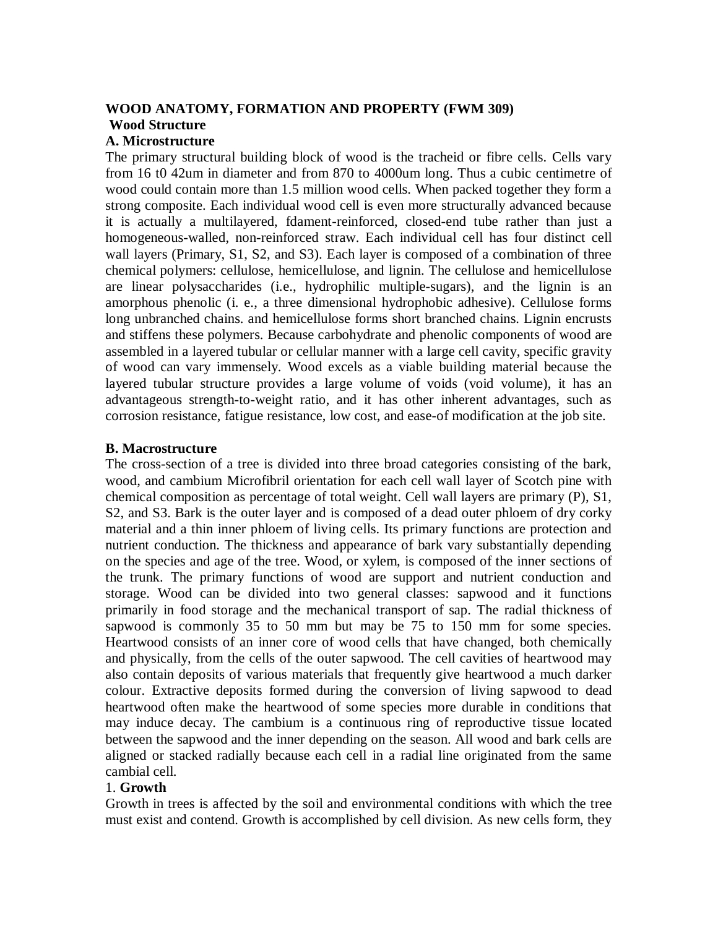# **WOOD ANATOMY, FORMATION AND PROPERTY (FWM 309) Wood Structure**

#### **A. Microstructure**

The primary structural building block of wood is the tracheid or fibre cells. Cells vary from 16 t0 42um in diameter and from 870 to 4000um long. Thus a cubic centimetre of wood could contain more than 1.5 million wood cells. When packed together they form a strong composite. Each individual wood cell is even more structurally advanced because it is actually a multilayered, fdament-reinforced, closed-end tube rather than just a homogeneous-walled, non-reinforced straw. Each individual cell has four distinct cell wall layers (Primary, S1, S2, and S3). Each layer is composed of a combination of three chemical polymers: cellulose, hemicellulose, and lignin. The cellulose and hemicellulose are linear polysaccharides (i.e., hydrophilic multiple-sugars), and the lignin is an amorphous phenolic (i. e., a three dimensional hydrophobic adhesive). Cellulose forms long unbranched chains. and hemicellulose forms short branched chains. Lignin encrusts and stiffens these polymers. Because carbohydrate and phenolic components of wood are assembled in a layered tubular or cellular manner with a large cell cavity, specific gravity of wood can vary immensely. Wood excels as a viable building material because the layered tubular structure provides a large volume of voids (void volume), it has an advantageous strength-to-weight ratio, and it has other inherent advantages, such as corrosion resistance, fatigue resistance, low cost, and ease-of modification at the job site.

#### **B. Macrostructure**

The cross-section of a tree is divided into three broad categories consisting of the bark, wood, and cambium Microfibril orientation for each cell wall layer of Scotch pine with chemical composition as percentage of total weight. Cell wall layers are primary (P), S1, S2, and S3. Bark is the outer layer and is composed of a dead outer phloem of dry corky material and a thin inner phloem of living cells. Its primary functions are protection and nutrient conduction. The thickness and appearance of bark vary substantially depending on the species and age of the tree. Wood, or xylem, is composed of the inner sections of the trunk. The primary functions of wood are support and nutrient conduction and storage. Wood can be divided into two general classes: sapwood and it functions primarily in food storage and the mechanical transport of sap. The radial thickness of sapwood is commonly 35 to 50 mm but may be 75 to 150 mm for some species. Heartwood consists of an inner core of wood cells that have changed, both chemically and physically, from the cells of the outer sapwood. The cell cavities of heartwood may also contain deposits of various materials that frequently give heartwood a much darker colour. Extractive deposits formed during the conversion of living sapwood to dead heartwood often make the heartwood of some species more durable in conditions that may induce decay. The cambium is a continuous ring of reproductive tissue located between the sapwood and the inner depending on the season. All wood and bark cells are aligned or stacked radially because each cell in a radial line originated from the same cambial cell.

## 1. **Growth**

Growth in trees is affected by the soil and environmental conditions with which the tree must exist and contend. Growth is accomplished by cell division. As new cells form, they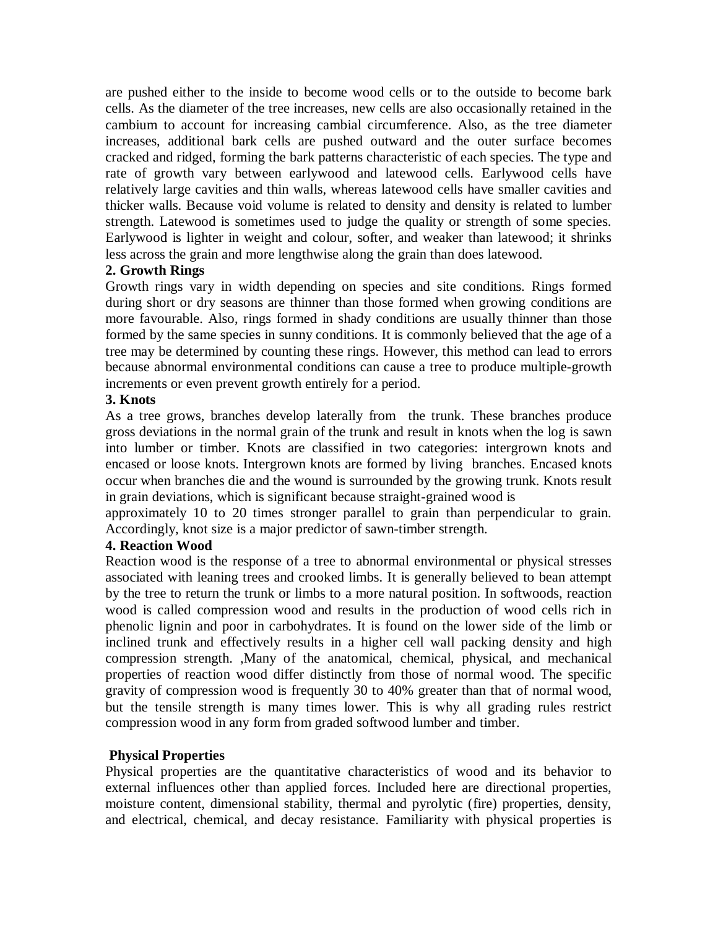are pushed either to the inside to become wood cells or to the outside to become bark cells. As the diameter of the tree increases, new cells are also occasionally retained in the cambium to account for increasing cambial circumference. Also, as the tree diameter increases, additional bark cells are pushed outward and the outer surface becomes cracked and ridged, forming the bark patterns characteristic of each species. The type and rate of growth vary between earlywood and latewood cells. Earlywood cells have relatively large cavities and thin walls, whereas latewood cells have smaller cavities and thicker walls. Because void volume is related to density and density is related to lumber strength. Latewood is sometimes used to judge the quality or strength of some species. Earlywood is lighter in weight and colour, softer, and weaker than latewood; it shrinks less across the grain and more lengthwise along the grain than does latewood.

# **2. Growth Rings**

Growth rings vary in width depending on species and site conditions. Rings formed during short or dry seasons are thinner than those formed when growing conditions are more favourable. Also, rings formed in shady conditions are usually thinner than those formed by the same species in sunny conditions. It is commonly believed that the age of a tree may be determined by counting these rings. However, this method can lead to errors because abnormal environmental conditions can cause a tree to produce multiple-growth increments or even prevent growth entirely for a period.

# **3. Knots**

As a tree grows, branches develop laterally from the trunk. These branches produce gross deviations in the normal grain of the trunk and result in knots when the log is sawn into lumber or timber. Knots are classified in two categories: intergrown knots and encased or loose knots. Intergrown knots are formed by living branches. Encased knots occur when branches die and the wound is surrounded by the growing trunk. Knots result in grain deviations, which is significant because straight-grained wood is

approximately 10 to 20 times stronger parallel to grain than perpendicular to grain. Accordingly, knot size is a major predictor of sawn-timber strength.

# **4. Reaction Wood**

Reaction wood is the response of a tree to abnormal environmental or physical stresses associated with leaning trees and crooked limbs. It is generally believed to bean attempt by the tree to return the trunk or limbs to a more natural position. In softwoods, reaction wood is called compression wood and results in the production of wood cells rich in phenolic lignin and poor in carbohydrates. It is found on the lower side of the limb or inclined trunk and effectively results in a higher cell wall packing density and high compression strength. ,Many of the anatomical, chemical, physical, and mechanical properties of reaction wood differ distinctly from those of normal wood. The specific gravity of compression wood is frequently 30 to 40% greater than that of normal wood, but the tensile strength is many times lower. This is why all grading rules restrict compression wood in any form from graded softwood lumber and timber.

# **Physical Properties**

Physical properties are the quantitative characteristics of wood and its behavior to external influences other than applied forces. Included here are directional properties, moisture content, dimensional stability, thermal and pyrolytic (fire) properties, density, and electrical, chemical, and decay resistance. Familiarity with physical properties is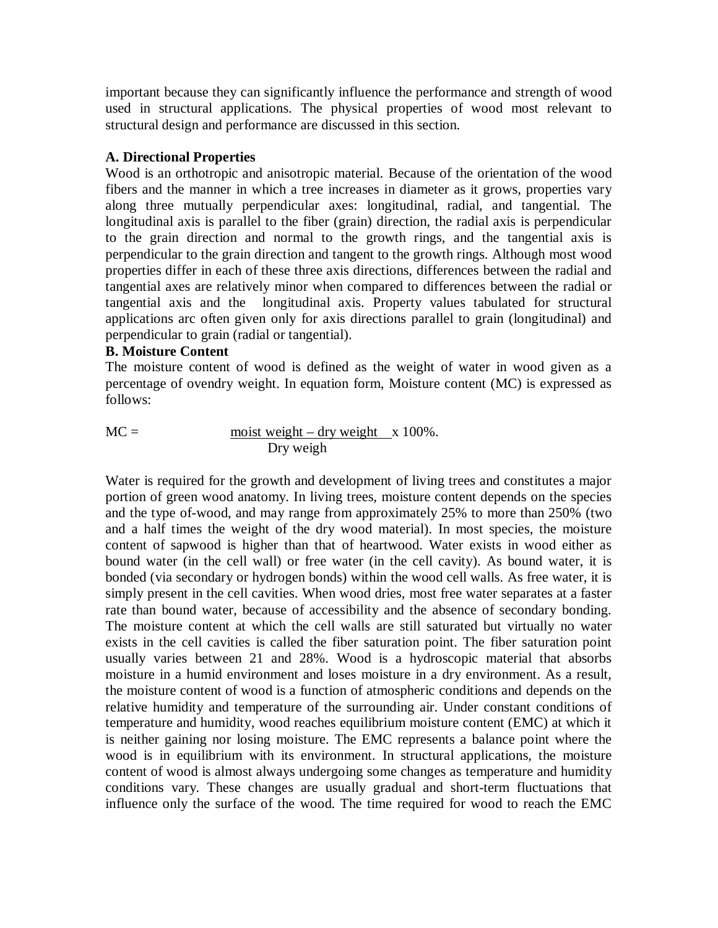important because they can significantly influence the performance and strength of wood used in structural applications. The physical properties of wood most relevant to structural design and performance are discussed in this section.

# **A. Directional Properties**

Wood is an orthotropic and anisotropic material. Because of the orientation of the wood fibers and the manner in which a tree increases in diameter as it grows, properties vary along three mutually perpendicular axes: longitudinal, radial, and tangential. The longitudinal axis is parallel to the fiber (grain) direction, the radial axis is perpendicular to the grain direction and normal to the growth rings, and the tangential axis is perpendicular to the grain direction and tangent to the growth rings. Although most wood properties differ in each of these three axis directions, differences between the radial and tangential axes are relatively minor when compared to differences between the radial or tangential axis and the longitudinal axis. Property values tabulated for structural applications arc often given only for axis directions parallel to grain (longitudinal) and perpendicular to grain (radial or tangential).

## **B. Moisture Content**

The moisture content of wood is defined as the weight of water in wood given as a percentage of ovendry weight. In equation form, Moisture content (MC) is expressed as follows:

$$
MC = \frac{\text{moist weight} - \text{dry weight}}{\text{Dry weigh}} \times 100\%.
$$

Water is required for the growth and development of living trees and constitutes a major portion of green wood anatomy. In living trees, moisture content depends on the species and the type of-wood, and may range from approximately 25% to more than 250% (two and a half times the weight of the dry wood material). In most species, the moisture content of sapwood is higher than that of heartwood. Water exists in wood either as bound water (in the cell wall) or free water (in the cell cavity). As bound water, it is bonded (via secondary or hydrogen bonds) within the wood cell walls. As free water, it is simply present in the cell cavities. When wood dries, most free water separates at a faster rate than bound water, because of accessibility and the absence of secondary bonding. The moisture content at which the cell walls are still saturated but virtually no water exists in the cell cavities is called the fiber saturation point. The fiber saturation point usually varies between 21 and 28%. Wood is a hydroscopic material that absorbs moisture in a humid environment and loses moisture in a dry environment. As a result, the moisture content of wood is a function of atmospheric conditions and depends on the relative humidity and temperature of the surrounding air. Under constant conditions of temperature and humidity, wood reaches equilibrium moisture content (EMC) at which it is neither gaining nor losing moisture. The EMC represents a balance point where the wood is in equilibrium with its environment. In structural applications, the moisture content of wood is almost always undergoing some changes as temperature and humidity conditions vary. These changes are usually gradual and short-term fluctuations that influence only the surface of the wood. The time required for wood to reach the EMC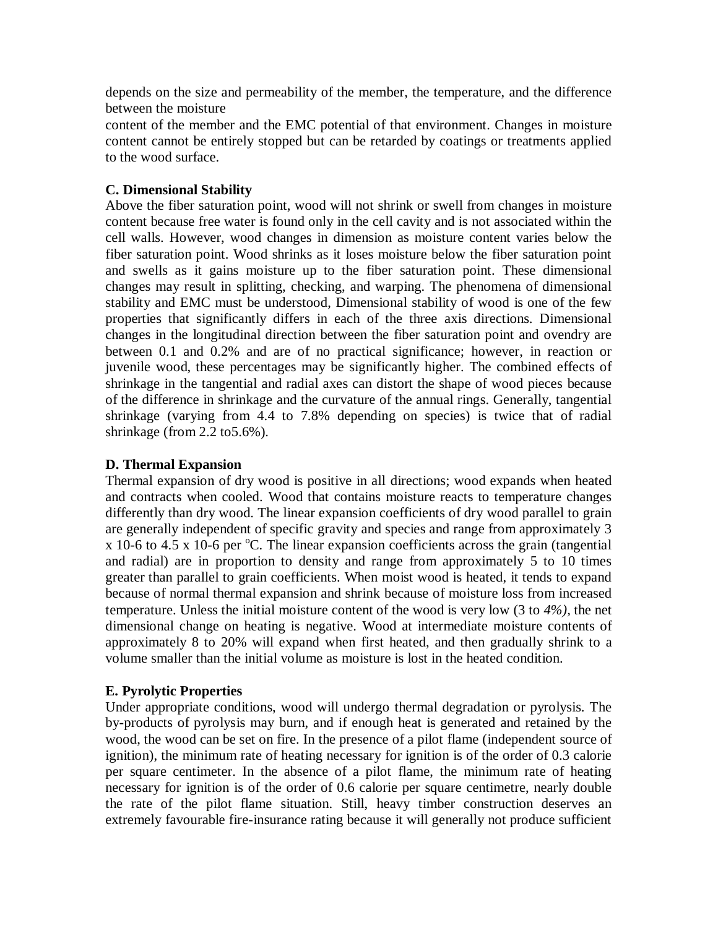depends on the size and permeability of the member, the temperature, and the difference between the moisture

content of the member and the EMC potential of that environment. Changes in moisture content cannot be entirely stopped but can be retarded by coatings or treatments applied to the wood surface.

# **C. Dimensional Stability**

Above the fiber saturation point, wood will not shrink or swell from changes in moisture content because free water is found only in the cell cavity and is not associated within the cell walls. However, wood changes in dimension as moisture content varies below the fiber saturation point. Wood shrinks as it loses moisture below the fiber saturation point and swells as it gains moisture up to the fiber saturation point. These dimensional changes may result in splitting, checking, and warping. The phenomena of dimensional stability and EMC must be understood, Dimensional stability of wood is one of the few properties that significantly differs in each of the three axis directions. Dimensional changes in the longitudinal direction between the fiber saturation point and ovendry are between 0.1 and 0.2% and are of no practical significance; however, in reaction or juvenile wood, these percentages may be significantly higher. The combined effects of shrinkage in the tangential and radial axes can distort the shape of wood pieces because of the difference in shrinkage and the curvature of the annual rings. Generally, tangential shrinkage (varying from 4.4 to 7.8% depending on species) is twice that of radial shrinkage (from 2.2 to5.6%).

## **D. Thermal Expansion**

Thermal expansion of dry wood is positive in all directions; wood expands when heated and contracts when cooled. Wood that contains moisture reacts to temperature changes differently than dry wood. The linear expansion coefficients of dry wood parallel to grain are generally independent of specific gravity and species and range from approximately 3 x 10-6 to 4.5 x 10-6 per  $\mathrm{C}$ . The linear expansion coefficients across the grain (tangential and radial) are in proportion to density and range from approximately 5 to 10 times greater than parallel to grain coefficients. When moist wood is heated, it tends to expand because of normal thermal expansion and shrink because of moisture loss from increased temperature. Unless the initial moisture content of the wood is very low (3 to *4%),* the net dimensional change on heating is negative. Wood at intermediate moisture contents of approximately 8 to 20% will expand when first heated, and then gradually shrink to a volume smaller than the initial volume as moisture is lost in the heated condition.

# **E. Pyrolytic Properties**

Under appropriate conditions, wood will undergo thermal degradation or pyrolysis. The by-products of pyrolysis may burn, and if enough heat is generated and retained by the wood, the wood can be set on fire. In the presence of a pilot flame (independent source of ignition), the minimum rate of heating necessary for ignition is of the order of 0.3 calorie per square centimeter. In the absence of a pilot flame, the minimum rate of heating necessary for ignition is of the order of 0.6 calorie per square centimetre, nearly double the rate of the pilot flame situation. Still, heavy timber construction deserves an extremely favourable fire-insurance rating because it will generally not produce sufficient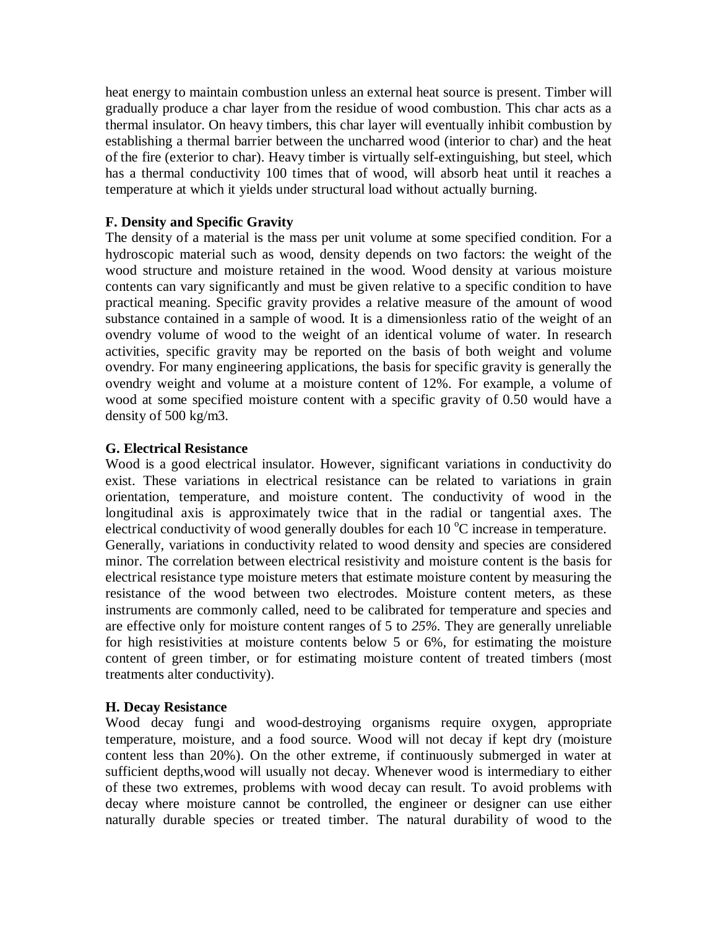heat energy to maintain combustion unless an external heat source is present. Timber will gradually produce a char layer from the residue of wood combustion. This char acts as a thermal insulator. On heavy timbers, this char layer will eventually inhibit combustion by establishing a thermal barrier between the uncharred wood (interior to char) and the heat of the fire (exterior to char). Heavy timber is virtually self-extinguishing, but steel, which has a thermal conductivity 100 times that of wood, will absorb heat until it reaches a temperature at which it yields under structural load without actually burning.

## **F. Density and Specific Gravity**

The density of a material is the mass per unit volume at some specified condition. For a hydroscopic material such as wood, density depends on two factors: the weight of the wood structure and moisture retained in the wood. Wood density at various moisture contents can vary significantly and must be given relative to a specific condition to have practical meaning. Specific gravity provides a relative measure of the amount of wood substance contained in a sample of wood. It is a dimensionless ratio of the weight of an ovendry volume of wood to the weight of an identical volume of water. In research activities, specific gravity may be reported on the basis of both weight and volume ovendry. For many engineering applications, the basis for specific gravity is generally the ovendry weight and volume at a moisture content of 12%. For example, a volume of wood at some specified moisture content with a specific gravity of 0.50 would have a density of 500 kg/m3.

## **G. Electrical Resistance**

Wood is a good electrical insulator. However, significant variations in conductivity do exist. These variations in electrical resistance can be related to variations in grain orientation, temperature, and moisture content. The conductivity of wood in the longitudinal axis is approximately twice that in the radial or tangential axes. The electrical conductivity of wood generally doubles for each  $10^{\circ}$ C increase in temperature. Generally, variations in conductivity related to wood density and species are considered minor. The correlation between electrical resistivity and moisture content is the basis for electrical resistance type moisture meters that estimate moisture content by measuring the resistance of the wood between two electrodes. Moisture content meters, as these instruments are commonly called, need to be calibrated for temperature and species and are effective only for moisture content ranges of 5 to *25%.* They are generally unreliable for high resistivities at moisture contents below 5 or 6%, for estimating the moisture content of green timber, or for estimating moisture content of treated timbers (most treatments alter conductivity).

## **H. Decay Resistance**

Wood decay fungi and wood-destroying organisms require oxygen, appropriate temperature, moisture, and a food source. Wood will not decay if kept dry (moisture content less than 20%). On the other extreme, if continuously submerged in water at sufficient depths,wood will usually not decay. Whenever wood is intermediary to either of these two extremes, problems with wood decay can result. To avoid problems with decay where moisture cannot be controlled, the engineer or designer can use either naturally durable species or treated timber. The natural durability of wood to the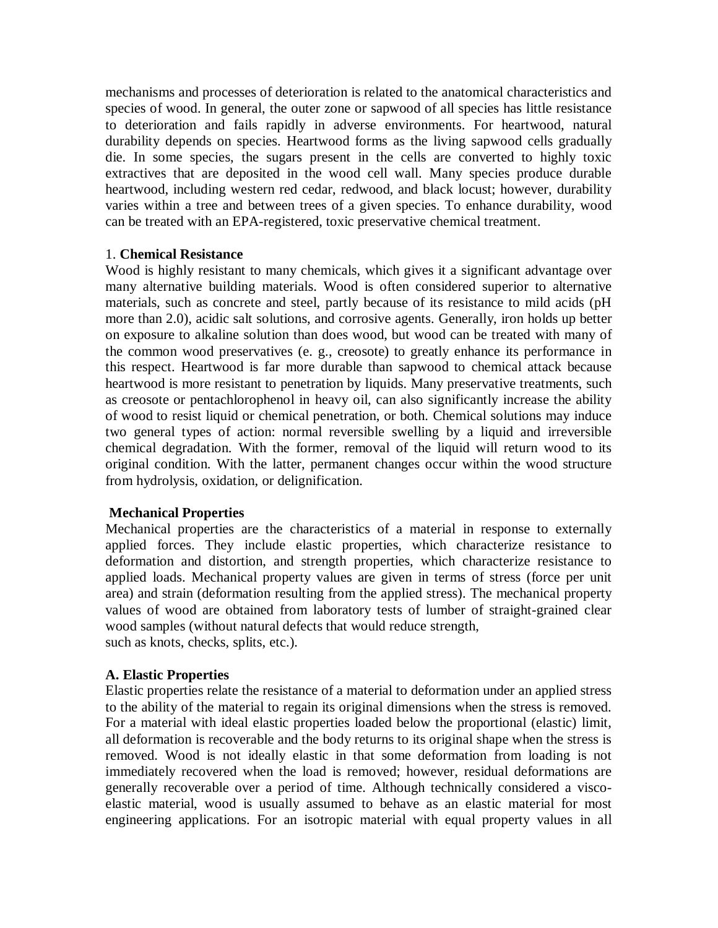mechanisms and processes of deterioration is related to the anatomical characteristics and species of wood. In general, the outer zone or sapwood of all species has little resistance to deterioration and fails rapidly in adverse environments. For heartwood, natural durability depends on species. Heartwood forms as the living sapwood cells gradually die. In some species, the sugars present in the cells are converted to highly toxic extractives that are deposited in the wood cell wall. Many species produce durable heartwood, including western red cedar, redwood, and black locust; however, durability varies within a tree and between trees of a given species. To enhance durability, wood can be treated with an EPA-registered, toxic preservative chemical treatment.

## 1. **Chemical Resistance**

Wood is highly resistant to many chemicals, which gives it a significant advantage over many alternative building materials. Wood is often considered superior to alternative materials, such as concrete and steel, partly because of its resistance to mild acids (pH more than 2.0), acidic salt solutions, and corrosive agents. Generally, iron holds up better on exposure to alkaline solution than does wood, but wood can be treated with many of the common wood preservatives (e. g., creosote) to greatly enhance its performance in this respect. Heartwood is far more durable than sapwood to chemical attack because heartwood is more resistant to penetration by liquids. Many preservative treatments, such as creosote or pentachlorophenol in heavy oil, can also significantly increase the ability of wood to resist liquid or chemical penetration, or both. Chemical solutions may induce two general types of action: normal reversible swelling by a liquid and irreversible chemical degradation. With the former, removal of the liquid will return wood to its original condition. With the latter, permanent changes occur within the wood structure from hydrolysis, oxidation, or delignification.

## **Mechanical Properties**

Mechanical properties are the characteristics of a material in response to externally applied forces. They include elastic properties, which characterize resistance to deformation and distortion, and strength properties, which characterize resistance to applied loads. Mechanical property values are given in terms of stress (force per unit area) and strain (deformation resulting from the applied stress). The mechanical property values of wood are obtained from laboratory tests of lumber of straight-grained clear wood samples (without natural defects that would reduce strength, such as knots, checks, splits, etc.).

# **A. Elastic Properties**

Elastic properties relate the resistance of a material to deformation under an applied stress to the ability of the material to regain its original dimensions when the stress is removed. For a material with ideal elastic properties loaded below the proportional (elastic) limit, all deformation is recoverable and the body returns to its original shape when the stress is removed. Wood is not ideally elastic in that some deformation from loading is not immediately recovered when the load is removed; however, residual deformations are generally recoverable over a period of time. Although technically considered a viscoelastic material, wood is usually assumed to behave as an elastic material for most engineering applications. For an isotropic material with equal property values in all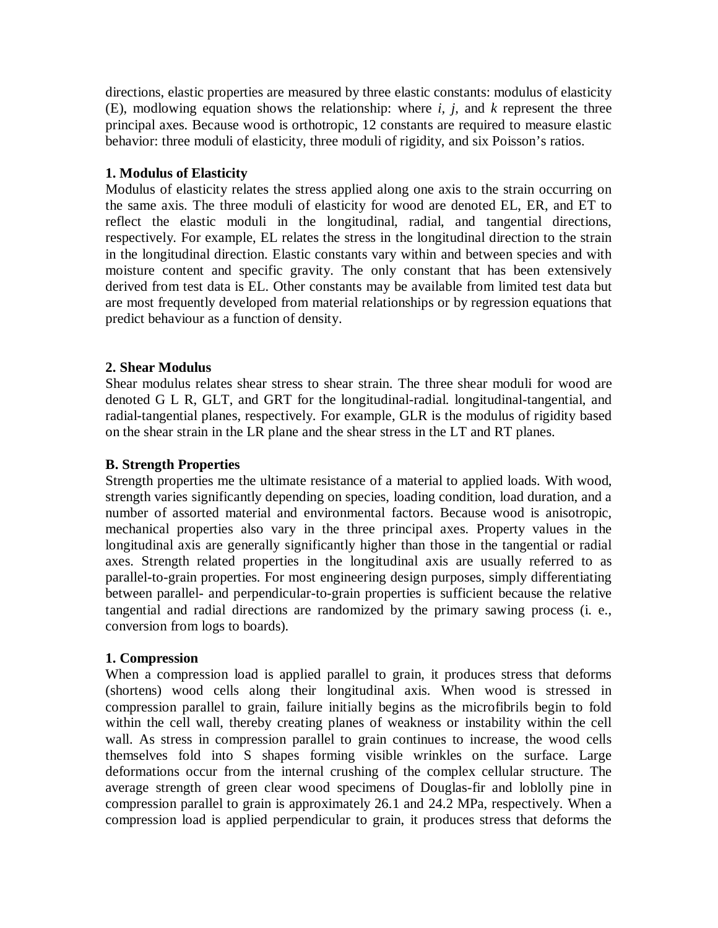directions, elastic properties are measured by three elastic constants: modulus of elasticity (E), modlowing equation shows the relationship: where *i, j,* and *k* represent the three principal axes. Because wood is orthotropic, 12 constants are required to measure elastic behavior: three moduli of elasticity, three moduli of rigidity, and six Poisson's ratios.

# **1. Modulus of Elasticity**

Modulus of elasticity relates the stress applied along one axis to the strain occurring on the same axis. The three moduli of elasticity for wood are denoted EL, ER, and ET to reflect the elastic moduli in the longitudinal, radial, and tangential directions, respectively. For example, EL relates the stress in the longitudinal direction to the strain in the longitudinal direction. Elastic constants vary within and between species and with moisture content and specific gravity. The only constant that has been extensively derived from test data is EL. Other constants may be available from limited test data but are most frequently developed from material relationships or by regression equations that predict behaviour as a function of density.

## **2. Shear Modulus**

Shear modulus relates shear stress to shear strain. The three shear moduli for wood are denoted G L R, GLT, and GRT for the longitudinal-radial. longitudinal-tangential, and radial-tangential planes, respectively. For example, GLR is the modulus of rigidity based on the shear strain in the LR plane and the shear stress in the LT and RT planes.

## **B. Strength Properties**

Strength properties me the ultimate resistance of a material to applied loads. With wood, strength varies significantly depending on species, loading condition, load duration, and a number of assorted material and environmental factors. Because wood is anisotropic, mechanical properties also vary in the three principal axes. Property values in the longitudinal axis are generally significantly higher than those in the tangential or radial axes. Strength related properties in the longitudinal axis are usually referred to as parallel-to-grain properties. For most engineering design purposes, simply differentiating between parallel- and perpendicular-to-grain properties is sufficient because the relative tangential and radial directions are randomized by the primary sawing process (i. e., conversion from logs to boards).

## **1. Compression**

When a compression load is applied parallel to grain, it produces stress that deforms (shortens) wood cells along their longitudinal axis. When wood is stressed in compression parallel to grain, failure initially begins as the microfibrils begin to fold within the cell wall, thereby creating planes of weakness or instability within the cell wall. As stress in compression parallel to grain continues to increase, the wood cells themselves fold into S shapes forming visible wrinkles on the surface. Large deformations occur from the internal crushing of the complex cellular structure. The average strength of green clear wood specimens of Douglas-fir and loblolly pine in compression parallel to grain is approximately 26.1 and 24.2 MPa, respectively. When a compression load is applied perpendicular to grain, it produces stress that deforms the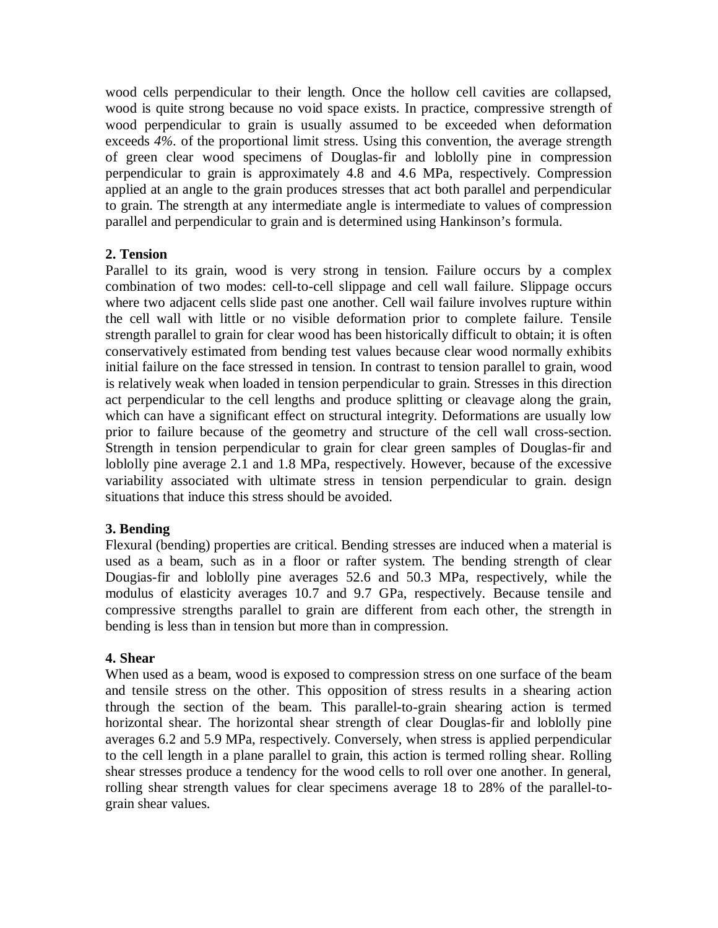wood cells perpendicular to their length. Once the hollow cell cavities are collapsed, wood is quite strong because no void space exists. In practice, compressive strength of wood perpendicular to grain is usually assumed to be exceeded when deformation exceeds *4%.* of the proportional limit stress. Using this convention, the average strength of green clear wood specimens of Douglas-fir and loblolly pine in compression perpendicular to grain is approximately 4.8 and 4.6 MPa, respectively. Compression applied at an angle to the grain produces stresses that act both parallel and perpendicular to grain. The strength at any intermediate angle is intermediate to values of compression parallel and perpendicular to grain and is determined using Hankinson's formula.

## **2. Tension**

Parallel to its grain, wood is very strong in tension. Failure occurs by a complex combination of two modes: cell-to-cell slippage and cell wall failure. Slippage occurs where two adjacent cells slide past one another. Cell wail failure involves rupture within the cell wall with little or no visible deformation prior to complete failure. Tensile strength parallel to grain for clear wood has been historically difficult to obtain; it is often conservatively estimated from bending test values because clear wood normally exhibits initial failure on the face stressed in tension. In contrast to tension parallel to grain, wood is relatively weak when loaded in tension perpendicular to grain. Stresses in this direction act perpendicular to the cell lengths and produce splitting or cleavage along the grain, which can have a significant effect on structural integrity. Deformations are usually low prior to failure because of the geometry and structure of the cell wall cross-section. Strength in tension perpendicular to grain for clear green samples of Douglas-fir and loblolly pine average 2.1 and 1.8 MPa, respectively. However, because of the excessive variability associated with ultimate stress in tension perpendicular to grain. design situations that induce this stress should be avoided.

# **3. Bending**

Flexural (bending) properties are critical. Bending stresses are induced when a material is used as a beam, such as in a floor or rafter system. The bending strength of clear Dougias-fir and loblolly pine averages 52.6 and 50.3 MPa, respectively, while the modulus of elasticity averages 10.7 and 9.7 GPa, respectively. Because tensile and compressive strengths parallel to grain are different from each other, the strength in bending is less than in tension but more than in compression.

## **4. Shear**

When used as a beam, wood is exposed to compression stress on one surface of the beam and tensile stress on the other. This opposition of stress results in a shearing action through the section of the beam. This parallel-to-grain shearing action is termed horizontal shear. The horizontal shear strength of clear Douglas-fir and loblolly pine averages 6.2 and 5.9 MPa, respectively. Conversely, when stress is applied perpendicular to the cell length in a plane parallel to grain, this action is termed rolling shear. Rolling shear stresses produce a tendency for the wood cells to roll over one another. In general, rolling shear strength values for clear specimens average 18 to 28% of the parallel-tograin shear values.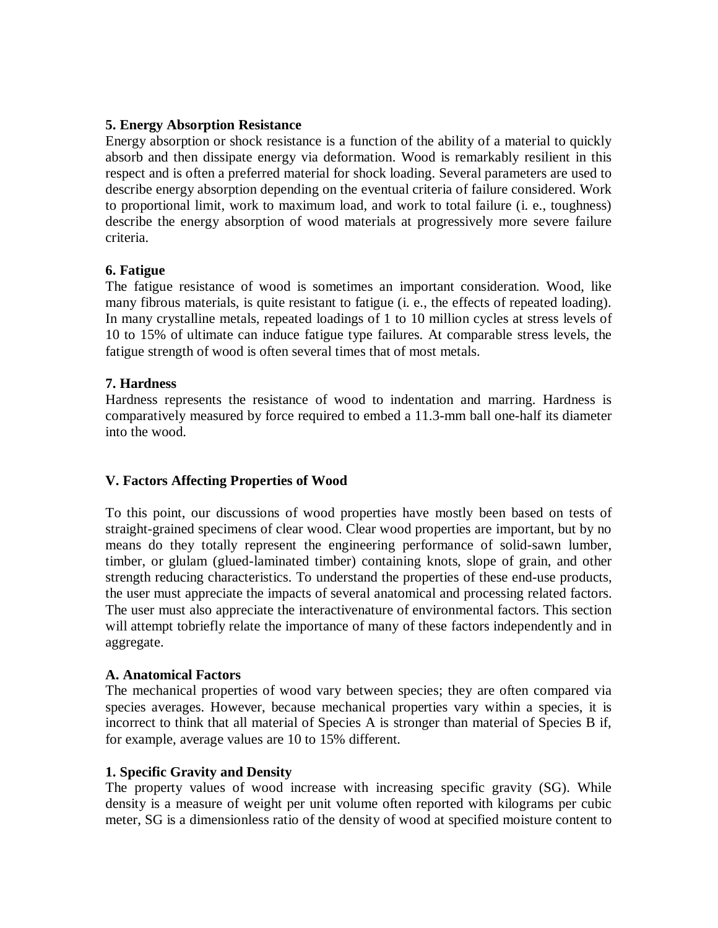## **5. Energy Absorption Resistance**

Energy absorption or shock resistance is a function of the ability of a material to quickly absorb and then dissipate energy via deformation. Wood is remarkably resilient in this respect and is often a preferred material for shock loading. Several parameters are used to describe energy absorption depending on the eventual criteria of failure considered. Work to proportional limit, work to maximum load, and work to total failure (i. e., toughness) describe the energy absorption of wood materials at progressively more severe failure criteria.

## **6. Fatigue**

The fatigue resistance of wood is sometimes an important consideration. Wood, like many fibrous materials, is quite resistant to fatigue (i. e., the effects of repeated loading). In many crystalline metals, repeated loadings of 1 to 10 million cycles at stress levels of 10 to 15% of ultimate can induce fatigue type failures. At comparable stress levels, the fatigue strength of wood is often several times that of most metals.

#### **7. Hardness**

Hardness represents the resistance of wood to indentation and marring. Hardness is comparatively measured by force required to embed a 11.3-mm ball one-half its diameter into the wood.

## **V. Factors Affecting Properties of Wood**

To this point, our discussions of wood properties have mostly been based on tests of straight-grained specimens of clear wood. Clear wood properties are important, but by no means do they totally represent the engineering performance of solid-sawn lumber, timber, or glulam (glued-laminated timber) containing knots, slope of grain, and other strength reducing characteristics. To understand the properties of these end-use products, the user must appreciate the impacts of several anatomical and processing related factors. The user must also appreciate the interactivenature of environmental factors. This section will attempt tobriefly relate the importance of many of these factors independently and in aggregate.

#### **A. Anatomical Factors**

The mechanical properties of wood vary between species; they are often compared via species averages. However, because mechanical properties vary within a species, it is incorrect to think that all material of Species A is stronger than material of Species B if, for example, average values are 10 to 15% different.

#### **1. Specific Gravity and Density**

The property values of wood increase with increasing specific gravity (SG). While density is a measure of weight per unit volume often reported with kilograms per cubic meter, SG is a dimensionless ratio of the density of wood at specified moisture content to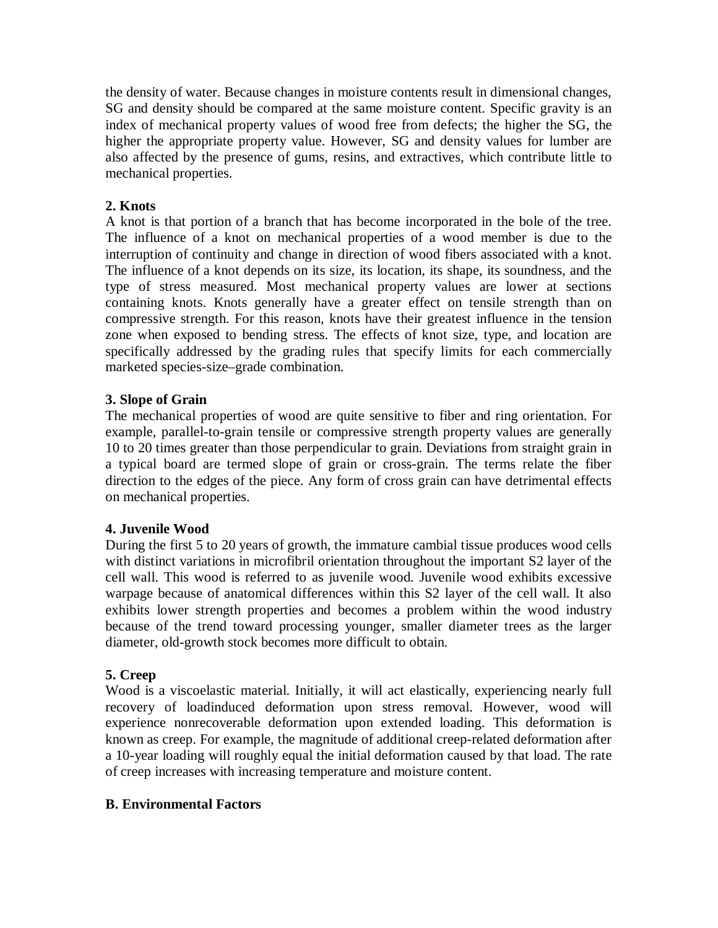the density of water. Because changes in moisture contents result in dimensional changes, SG and density should be compared at the same moisture content. Specific gravity is an index of mechanical property values of wood free from defects; the higher the SG, the higher the appropriate property value. However, SG and density values for lumber are also affected by the presence of gums, resins, and extractives, which contribute little to mechanical properties.

# **2. Knots**

A knot is that portion of a branch that has become incorporated in the bole of the tree. The influence of a knot on mechanical properties of a wood member is due to the interruption of continuity and change in direction of wood fibers associated with a knot. The influence of a knot depends on its size, its location, its shape, its soundness, and the type of stress measured. Most mechanical property values are lower at sections containing knots. Knots generally have a greater effect on tensile strength than on compressive strength. For this reason, knots have their greatest influence in the tension zone when exposed to bending stress. The effects of knot size, type, and location are specifically addressed by the grading rules that specify limits for each commercially marketed species-size–grade combination.

## **3. Slope of Grain**

The mechanical properties of wood are quite sensitive to fiber and ring orientation. For example, parallel-to-grain tensile or compressive strength property values are generally 10 to 20 times greater than those perpendicular to grain. Deviations from straight grain in a typical board are termed slope of grain or cross-grain. The terms relate the fiber direction to the edges of the piece. Any form of cross grain can have detrimental effects on mechanical properties.

# **4. Juvenile Wood**

During the first 5 to 20 years of growth, the immature cambial tissue produces wood cells with distinct variations in microfibril orientation throughout the important S2 layer of the cell wall. This wood is referred to as juvenile wood. Juvenile wood exhibits excessive warpage because of anatomical differences within this S2 layer of the cell wall. It also exhibits lower strength properties and becomes a problem within the wood industry because of the trend toward processing younger, smaller diameter trees as the larger diameter, old-growth stock becomes more difficult to obtain.

# **5. Creep**

Wood is a viscoelastic material. Initially, it will act elastically, experiencing nearly full recovery of loadinduced deformation upon stress removal. However, wood will experience nonrecoverable deformation upon extended loading. This deformation is known as creep. For example, the magnitude of additional creep-related deformation after a 10-year loading will roughly equal the initial deformation caused by that load. The rate of creep increases with increasing temperature and moisture content.

## **B. Environmental Factors**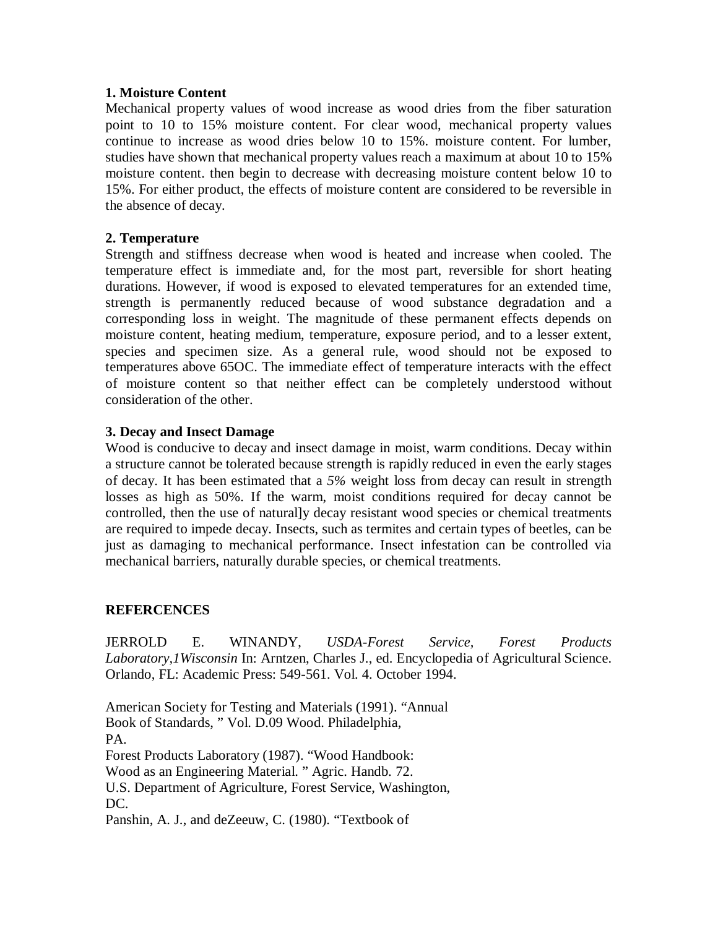## **1. Moisture Content**

Mechanical property values of wood increase as wood dries from the fiber saturation point to 10 to 15% moisture content. For clear wood, mechanical property values continue to increase as wood dries below 10 to 15%. moisture content. For lumber, studies have shown that mechanical property values reach a maximum at about 10 to 15% moisture content. then begin to decrease with decreasing moisture content below 10 to 15%. For either product, the effects of moisture content are considered to be reversible in the absence of decay.

## **2. Temperature**

Strength and stiffness decrease when wood is heated and increase when cooled. The temperature effect is immediate and, for the most part, reversible for short heating durations. However, if wood is exposed to elevated temperatures for an extended time, strength is permanently reduced because of wood substance degradation and a corresponding loss in weight. The magnitude of these permanent effects depends on moisture content, heating medium, temperature, exposure period, and to a lesser extent, species and specimen size. As a general rule, wood should not be exposed to temperatures above 65OC. The immediate effect of temperature interacts with the effect of moisture content so that neither effect can be completely understood without consideration of the other.

## **3. Decay and Insect Damage**

Wood is conducive to decay and insect damage in moist, warm conditions. Decay within a structure cannot be tolerated because strength is rapidly reduced in even the early stages of decay. It has been estimated that a *5%* weight loss from decay can result in strength losses as high as 50%. If the warm, moist conditions required for decay cannot be controlled, then the use of natural]y decay resistant wood species or chemical treatments are required to impede decay. Insects, such as termites and certain types of beetles, can be just as damaging to mechanical performance. Insect infestation can be controlled via mechanical barriers, naturally durable species, or chemical treatments.

## **REFERCENCES**

JERROLD E. WINANDY, *USDA-Forest Service, Forest Products Laboratory,1Wisconsin* In: Arntzen, Charles J., ed. Encyclopedia of Agricultural Science. Orlando, FL: Academic Press: 549-561. Vol. 4. October 1994.

American Society for Testing and Materials (1991). "Annual Book of Standards, " Vol. D.09 Wood. Philadelphia, PA. Forest Products Laboratory (1987). "Wood Handbook: Wood as an Engineering Material. " Agric. Handb. 72. U.S. Department of Agriculture, Forest Service, Washington, DC. Panshin, A. J., and deZeeuw, C. (1980). "Textbook of